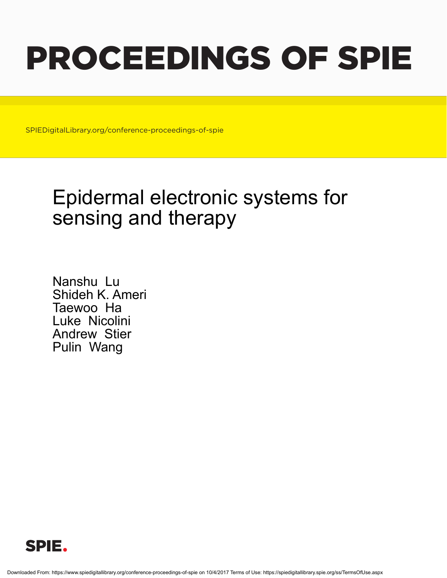# PROCEEDINGS OF SPIE

SPIEDigitalLibrary.org/conference-proceedings-of-spie

## Epidermal electronic systems for sensing and therapy

Nanshu Lu Shideh K. Ameri Taewoo Ha Luke Nicolini Andrew Stier Pulin Wang

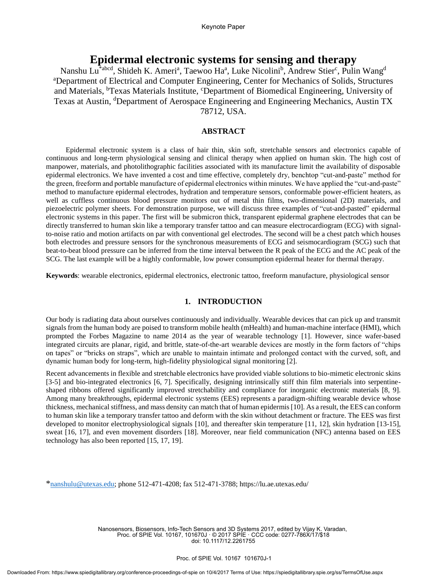### **Epidermal electronic systems for sensing and therapy**

Nanshu Lu<sup>\*abcd</sup>, Shideh K. Ameri<sup>a</sup>, Taewoo Ha<sup>a</sup>, Luke Nicolini<sup>b</sup>, Andrew Stier<sup>c</sup>, Pulin Wang<sup>d</sup> <sup>a</sup>Department of Electrical and Computer Engineering, Center for Mechanics of Solids, Structures and Materials, <sup>b</sup>Texas Materials Institute, <sup>c</sup>Department of Biomedical Engineering, University of Texas at Austin, <sup>d</sup>Department of Aerospace Engineering and Engineering Mechanics, Austin TX 78712, USA.

#### **ABSTRACT**

Epidermal electronic system is a class of hair thin, skin soft, stretchable sensors and electronics capable of continuous and long-term physiological sensing and clinical therapy when applied on human skin. The high cost of manpower, materials, and photolithographic facilities associated with its manufacture limit the availability of disposable epidermal electronics. We have invented a cost and time effective, completely dry, benchtop "cut-and-paste" method for the green, freeform and portable manufacture of epidermal electronics within minutes. We have applied the "cut-and-paste" method to manufacture epidermal electrodes, hydration and temperature sensors, conformable power-efficient heaters, as well as cuffless continuous blood pressure monitors out of metal thin films, two-dimensional (2D) materials, and piezoelectric polymer sheets. For demonstration purpose, we will discuss three examples of "cut-and-pasted" epidermal electronic systems in this paper. The first will be submicron thick, transparent epidermal graphene electrodes that can be directly transferred to human skin like a temporary transfer tattoo and can measure electrocardiogram (ECG) with signalto-noise ratio and motion artifacts on par with conventional gel electrodes. The second will be a chest patch which houses both electrodes and pressure sensors for the synchronous measurements of ECG and seismocardiogram (SCG) such that beat-to-beat blood pressure can be inferred from the time interval between the R peak of the ECG and the AC peak of the SCG. The last example will be a highly conformable, low power consumption epidermal heater for thermal therapy.

**Keywords**: wearable electronics, epidermal electronics, electronic tattoo, freeform manufacture, physiological sensor

#### **1. INTRODUCTION**

Our body is radiating data about ourselves continuously and individually. Wearable devices that can pick up and transmit signals from the human body are poised to transform mobile health (mHealth) and human-machine interface (HMI), which prompted the Forbes Magazine to name 2014 as the year of wearable technology [1]. However, since wafer-based integrated circuits are planar, rigid, and brittle, state-of-the-art wearable devices are mostly in the form factors of "chips on tapes" or "bricks on straps", which are unable to maintain intimate and prolonged contact with the curved, soft, and dynamic human body for long-term, high-fidelity physiological signal monitoring [2].

Recent advancements in flexible and stretchable electronics have provided viable solutions to bio-mimetic electronic skins [3-5] and bio-integrated electronics [6, 7]. Specifically, designing intrinsically stiff thin film materials into serpentineshaped ribbons offered significantly improved stretchability and compliance for inorganic electronic materials [8, 9]. Among many breakthroughs, epidermal electronic systems (EES) represents a paradigm-shifting wearable device whose thickness, mechanical stiffness, and mass density can match that of human epidermis [10]. As a result, the EES can conform to human skin like a temporary transfer tattoo and deform with the skin without detachment or fracture. The EES was first developed to monitor electrophysiological signals [10], and thereafter skin temperature [11, 12], skin hydration [13-15], sweat [16, 17], and even movement disorders [18]. Moreover, near field communication (NFC) antenna based on EES technology has also been reported [15, 17, 19].

\*nanshulu@utexas.edu; phone 512-471-4208; fax 512-471-3788; https://lu.ae.utexas.edu/

Nanosensors, Biosensors, Info-Tech Sensors and 3D Systems 2017, edited by Vijay K. Varadan, Proc. of SPIE Vol. 10167, 101670J · © 2017 SPIE · CCC code: 0277-786X/17/\$18 doi: 10.1117/12.2261755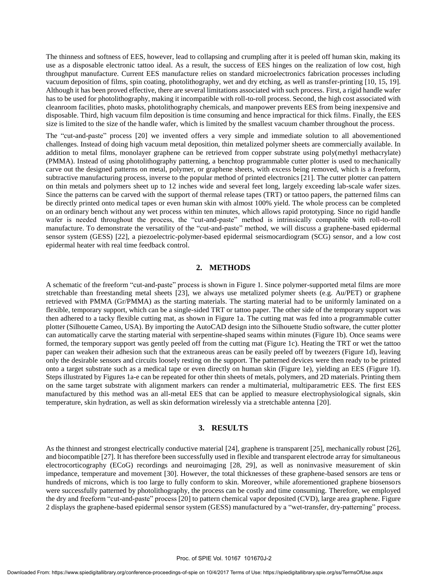The thinness and softness of EES, however, lead to collapsing and crumpling after it is peeled off human skin, making its use as a disposable electronic tattoo ideal. As a result, the success of EES hinges on the realization of low cost, high throughput manufacture. Current EES manufacture relies on standard microelectronics fabrication processes including vacuum deposition of films, spin coating, photolithography, wet and dry etching, as well as transfer-printing [10, 15, 19]. Although it has been proved effective, there are several limitations associated with such process. First, a rigid handle wafer has to be used for photolithography, making it incompatible with roll-to-roll process. Second, the high cost associated with cleanroom facilities, photo masks, photolithography chemicals, and manpower prevents EES from being inexpensive and disposable. Third, high vacuum film deposition is time consuming and hence impractical for thick films. Finally, the EES size is limited to the size of the handle wafer, which is limited by the smallest vacuum chamber throughout the process.

The "cut-and-paste" process [20] we invented offers a very simple and immediate solution to all abovementioned challenges. Instead of doing high vacuum metal deposition, thin metalized polymer sheets are commercially available. In addition to metal films, monolayer graphene can be retrieved from copper substrate using poly(methyl methacrylate) (PMMA). Instead of using photolithography patterning, a benchtop programmable cutter plotter is used to mechanically carve out the designed patterns on metal, polymer, or graphene sheets, with excess being removed, which is a freeform, subtractive manufacturing process, inverse to the popular method of printed electronics [21]. The cutter plotter can pattern on thin metals and polymers sheet up to 12 inches wide and several feet long, largely exceeding lab-scale wafer sizes. Since the patterns can be carved with the support of thermal release tapes (TRT) or tattoo papers, the patterned films can be directly printed onto medical tapes or even human skin with almost 100% yield. The whole process can be completed on an ordinary bench without any wet process within ten minutes, which allows rapid prototyping. Since no rigid handle wafer is needed throughout the process, the "cut-and-paste" method is intrinsically compatible with roll-to-roll manufacture. To demonstrate the versatility of the "cut-and-paste" method, we will discuss a graphene-based epidermal sensor system (GESS) [22], a piezoelectric-polymer-based epidermal seismocardiogram (SCG) sensor, and a low cost epidermal heater with real time feedback control.

#### **2. METHODS**

A schematic of the freeform "cut-and-paste" process is shown in Figure 1. Since polymer-supported metal films are more stretchable than freestanding metal sheets [23], we always use metalized polymer sheets (e.g. Au/PET) or graphene retrieved with PMMA (Gr/PMMA) as the starting materials. The starting material had to be uniformly laminated on a flexible, temporary support, which can be a single-sided TRT or tattoo paper. The other side of the temporary support was then adhered to a tacky flexible cutting mat, as shown in Figure 1a. The cutting mat was fed into a programmable cutter plotter (Silhouette Cameo, USA). By importing the AutoCAD design into the Silhouette Studio software, the cutter plotter can automatically carve the starting material with serpentine-shaped seams within minutes (Figure 1b). Once seams were formed, the temporary support was gently peeled off from the cutting mat (Figure 1c). Heating the TRT or wet the tattoo paper can weaken their adhesion such that the extraneous areas can be easily peeled off by tweezers (Figure 1d), leaving only the desirable sensors and circuits loosely resting on the support. The patterned devices were then ready to be printed onto a target substrate such as a medical tape or even directly on human skin (Figure 1e), yielding an EES (Figure 1f). Steps illustrated by Figures 1a-e can be repeated for other thin sheets of metals, polymers, and 2D materials. Printing them on the same target substrate with alignment markers can render a multimaterial, multiparametric EES. The first EES manufactured by this method was an all-metal EES that can be applied to measure electrophysiological signals, skin temperature, skin hydration, as well as skin deformation wirelessly via a stretchable antenna [20].

#### **3. RESULTS**

As the thinnest and strongest electrically conductive material [24], graphene is transparent [25], mechanically robust [26], and biocompatible [27]. It has therefore been successfully used in flexible and transparent electrode array for simultaneous electrocorticography (ECoG) recordings and neuroimaging [28, 29], as well as noninvasive measurement of skin impedance, temperature and movement [30]. However, the total thicknesses of these graphene-based sensors are tens or hundreds of microns, which is too large to fully conform to skin. Moreover, while aforementioned graphene biosensors were successfully patterned by photolithography, the process can be costly and time consuming. Therefore, we employed the dry and freeform "cut-and-paste" process [20] to pattern chemical vapor deposited (CVD), large area graphene. Figure 2 displays the graphene-based epidermal sensor system (GESS) manufactured by a "wet-transfer, dry-patterning" process.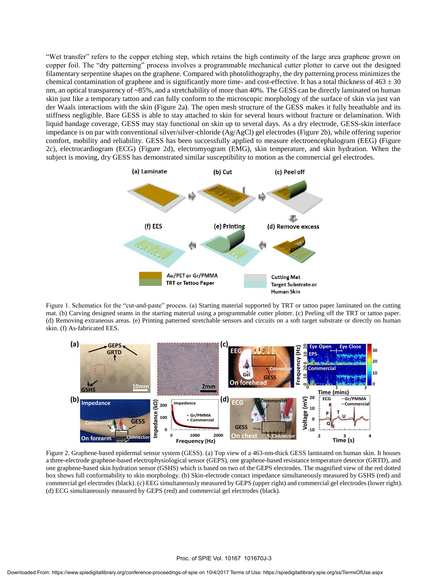"Wet transfer" refers to the copper etching step, which retains the high continuity of the large area graphene grown on copper foil. The "dry patterning" process involves a programmable mechanical cutter plotter to carve out the designed filamentary serpentine shapes on the graphene. Compared with photolithography, the dry patterning process minimizes the chemical contamination of graphene and is significantly more time- and cost-effective. It has a total thickness of  $463 \pm 30$ nm, an optical transparency of ~85%, and a stretchability of more than 40%. The GESS can be directly laminated on human skin just like a temporary tattoo and can fully conform to the microscopic morphology of the surface of skin via just van der Waals interactions with the skin (Figure 2a). The open mesh structure of the GESS makes it fully breathable and its stiffness negligible. Bare GESS is able to stay attached to skin for several hours without fracture or delamination. With liquid bandage coverage, GESS may stay functional on skin up to several days. As a dry electrode, GESS-skin interface impedance is on par with conventional silver/silver-chloride (Ag/AgCl) gel electrodes (Figure 2b), while offering superior comfort, mobility and reliability. GESS has been successfully applied to measure electroencephalogram (EEG) (Figure 2c), electrocardiogram (ECG) (Figure 2d), electromyogram (EMG), skin temperature, and skin hydration. When the subject is moving, dry GESS has demonstrated similar susceptibility to motion as the commercial gel electrodes.



Figure 1. Schematics for the "cut-and-paste" process. (a) Starting material supported by TRT or tattoo paper laminated on the cutting mat. (b) Carving designed seams in the starting material using a programmable cutter plotter. (c) Peeling off the TRT or tattoo paper. (d) Removing extraneous areas. (e) Printing patterned stretchable sensors and circuits on a soft target substrate or directly on human skin. (f) As-fabricated EES.



Figure 2. Graphene-based epidermal sensor system (GESS). (a) Top view of a 463-nm-thick GESS laminated on human skin. It houses a three-electrode graphene-based electrophysiological sensor (GEPS), one graphene-based resistance temperature detector (GRTD), and one graphene-based skin hydration sensor (GSHS) which is based on two of the GEPS electrodes. The magnified view of the red dotted box shows full conformability to skin morphology. (b) Skin-electrode contact impedance simultaneously measured by GSHS (red) and commercial gel electrodes (black). (c) EEG simultaneously measured by GEPS (upper right) and commercial gel electrodes (lower right). (d) ECG simultaneously measured by GEPS (red) and commercial gel electrodes (black).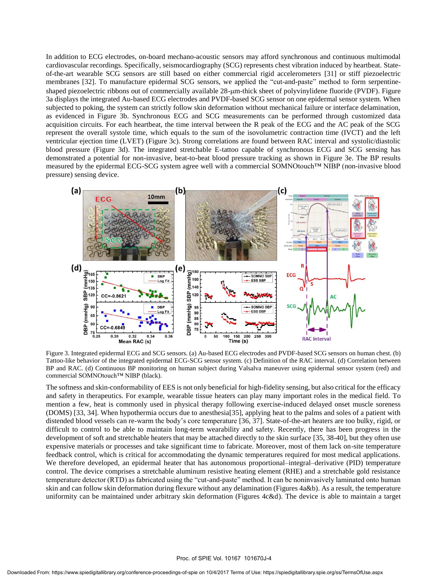In addition to ECG electrodes, on-board mechano-acoustic sensors may afford synchronous and continuous multimodal cardiovascular recordings. Specifically, seismocardiography (SCG) represents chest vibration induced by heartbeat. Stateof-the-art wearable SCG sensors are still based on either commercial rigid accelerometers [31] or stiff piezoelectric membranes [32]. To manufacture epidermal SCG sensors, we applied the "cut-and-paste" method to form serpentineshaped piezoelectric ribbons out of commercially available 28-um-thick sheet of polyvinylidene fluoride (PVDF). Figure 3a displays the integrated Au-based ECG electrodes and PVDF-based SCG sensor on one epidermal sensor system. When subjected to poking, the system can strictly follow skin deformation without mechanical failure or interface delamination, as evidenced in Figure 3b. Synchronous ECG and SCG measurements can be performed through customized data acquisition circuits. For each heartbeat, the time interval between the R peak of the ECG and the AC peak of the SCG represent the overall systole time, which equals to the sum of the isovolumetric contraction time (IVCT) and the left ventricular ejection time (LVET) (Figure 3c). Strong correlations are found between RAC interval and systolic/diastolic blood pressure (Figure 3d). The integrated stretchable E-tattoo capable of synchronous ECG and SCG sensing has demonstrated a potential for non-invasive, beat-to-beat blood pressure tracking as shown in Figure 3e. The BP results measured by the epidermal ECG-SCG system agree well with a commercial SOMNOtouch™ NIBP (non-invasive blood pressure) sensing device.



Figure 3. Integrated epidermal ECG and SCG sensors. (a) Au-based ECG electrodes and PVDF-based SCG sensors on human chest. (b) Tattoo-like behavior of the integrated epidermal ECG-SCG sensor system. (c) Definition of the RAC interval. (d) Correlation between BP and RAC. (d) Continuous BP monitoring on human subject during Valsalva maneuver using epidermal sensor system (red) and commercial SOMNOtouch™ NIBP (black).

The softness and skin-conformability of EES is not only beneficial for high-fidelity sensing, but also critical for the efficacy and safety in therapeutics. For example, wearable tissue heaters can play many important roles in the medical field. To mention a few, heat is commonly used in physical therapy following exercise-induced delayed onset muscle soreness (DOMS) [33, 34]. When hypothermia occurs due to anesthesia[35], applying heat to the palms and soles of a patient with distended blood vessels can re-warm the body's core temperature [36, 37]. State-of-the-art heaters are too bulky, rigid, or difficult to control to be able to maintain long-term wearability and safety. Recently, there has been progress in the development of soft and stretchable heaters that may be attached directly to the skin surface [35, 38-40], but they often use expensive materials or processes and take significant time to fabricate. Moreover, most of them lack on-site temperature feedback control, which is critical for accommodating the dynamic temperatures required for most medical applications. We therefore developed, an epidermal heater that has autonomous proportional–integral–derivative (PID) temperature control. The device comprises a stretchable aluminum resistive heating element (RHE) and a stretchable gold resistance temperature detector (RTD) as fabricated using the "cut-and-paste" method. It can be noninvasively laminated onto human skin and can follow skin deformation during flexure without any delamination (Figures 4a&b). As a result, the temperature uniformity can be maintained under arbitrary skin deformation (Figures 4c&d). The device is able to maintain a target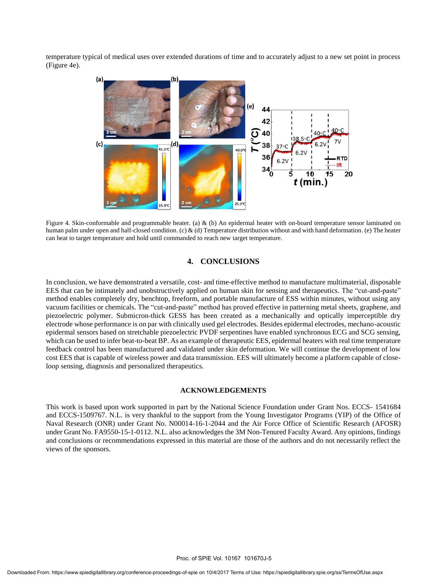temperature typical of medical uses over extended durations of time and to accurately adjust to a new set point in process (Figure 4e).



Figure 4. Skin-conformable and programmable heater. (a) & (b) An epidermal heater with on-board temperature sensor laminated on human palm under open and half-closed condition. (c) & (d) Temperature distribution without and with hand deformation. (e) The heater can heat to target temperature and hold until commanded to reach new target temperature.

#### **4. CONCLUSIONS**

In conclusion, we have demonstrated a versatile, cost- and time-effective method to manufacture multimaterial, disposable EES that can be intimately and unobstructively applied on human skin for sensing and therapeutics. The "cut-and-paste" method enables completely dry, benchtop, freeform, and portable manufacture of ESS within minutes, without using any vacuum facilities or chemicals. The "cut-and-paste" method has proved effective in patterning metal sheets, graphene, and piezoelectric polymer. Submicron-thick GESS has been created as a mechanically and optically imperceptible dry electrode whose performance is on par with clinically used gel electrodes. Besides epidermal electrodes, mechano-acoustic epidermal sensors based on stretchable piezoelectric PVDF serpentines have enabled synchronous ECG and SCG sensing, which can be used to infer beat-to-beat BP. As an example of therapeutic EES, epidermal heaters with real time temperature feedback control has been manufactured and validated under skin deformation. We will continue the development of low cost EES that is capable of wireless power and data transmission. EES will ultimately become a platform capable of closeloop sensing, diagnosis and personalized therapeutics.

#### **ACKNOWLEDGEMENTS**

This work is based upon work supported in part by the National Science Foundation under Grant Nos. ECCS- 1541684 and ECCS-1509767. N.L. is very thankful to the support from the Young Investigator Programs (YIP) of the Office of Naval Research (ONR) under Grant No. N00014-16-1-2044 and the Air Force Office of Scientific Research (AFOSR) under Grant No. FA9550-15-1-0112. N.L. also acknowledges the 3M Non-Tenured Faculty Award. Any opinions, findings and conclusions or recommendations expressed in this material are those of the authors and do not necessarily reflect the views of the sponsors.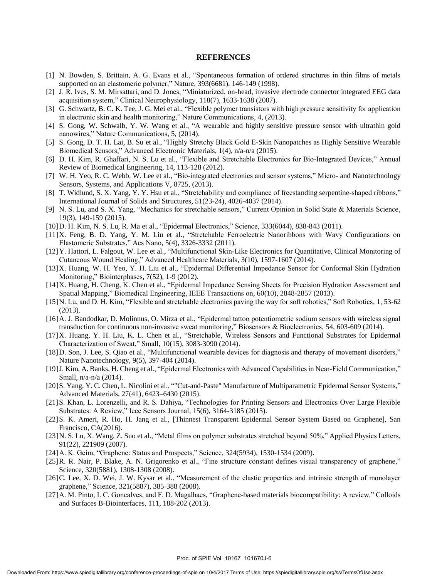#### **REFERENCES**

- [1] N. Bowden, S. Brittain, A. G. Evans et al., "Spontaneous formation of ordered structures in thin films of metals supported on an elastomeric polymer," Nature, 393(6681), 146-149 (1998).
- [2] J. R. Ives, S. M. Mirsattari, and D. Jones, "Miniaturized, on-head, invasive electrode connector integrated EEG data acquisition system," Clinical Neurophysiology, 118(7), 1633-1638 (2007).
- [3] G. Schwartz, B. C. K. Tee, J. G. Mei et al., "Flexible polymer transistors with high pressure sensitivity for application in electronic skin and health monitoring," Nature Communications, 4, (2013).
- [4] S. Gong, W. Schwalb, Y. W. Wang et al., "A wearable and highly sensitive pressure sensor with ultrathin gold nanowires," Nature Communications, 5, (2014).
- [5] S. Gong, D. T. H. Lai, B. Su et al., "Highly Stretchy Black Gold E-Skin Nanopatches as Highly Sensitive Wearable Biomedical Sensors," Advanced Electronic Materials, 1(4), n/a-n/a (2015).
- [6] D. H. Kim, R. Ghaffari, N. S. Lu et al., "Flexible and Stretchable Electronics for Bio-Integrated Devices," Annual Review of Biomedical Engineering, 14, 113-128 (2012).
- [7] W. H. Yeo, R. C. Webb, W. Lee et al., "Bio-integrated electronics and sensor systems," Micro- and Nanotechnology Sensors, Systems, and Applications V, 8725, (2013).
- [8] T. Widlund, S. X. Yang, Y. Y. Hsu et al., "Stretchability and compliance of freestanding serpentine-shaped ribbons," International Journal of Solids and Structures, 51(23-24), 4026-4037 (2014).
- [9] N. S. Lu, and S. X. Yang, "Mechanics for stretchable sensors," Current Opinion in Solid State & Materials Science, 19(3), 149-159 (2015).
- [10] D. H. Kim, N. S. Lu, R. Ma et al., "Epidermal Electronics," Science, 333(6044), 838-843 (2011).
- [11] X. Feng, B. D. Yang, Y. M. Liu et al., "Stretchable Ferroelectric Nanoribbons with Wavy Configurations on Elastomeric Substrates," Acs Nano, 5(4), 3326-3332 (2011).
- [12] Y. Hattori, L. Falgout, W. Lee et al., "Multifunctional Skin-Like Electronics for Quantitative, Clinical Monitoring of Cutaneous Wound Healing," Advanced Healthcare Materials, 3(10), 1597-1607 (2014).
- [13] X. Huang, W. H. Yeo, Y. H. Liu et al., "Epidermal Differential Impedance Sensor for Conformal Skin Hydration Monitoring," Biointerphases, 7(52), 1-9 (2012).
- [14] X. Huang, H. Cheng, K. Chen et al., "Epidermal Impedance Sensing Sheets for Precision Hydration Assessment and Spatial Mapping," Biomedical Engineering, IEEE Transactions on, 60(10), 2848-2857 (2013).
- [15] N. Lu, and D. H. Kim, "Flexible and stretchable electronics paving the way for soft robotics," Soft Robotics, 1, 53-62 (2013).
- [16] A. J. Bandodkar, D. Molinnus, O. Mirza et al., "Epidermal tattoo potentiometric sodium sensors with wireless signal transduction for continuous non-invasive sweat monitoring," Biosensors & Bioelectronics, 54, 603-609 (2014).
- [17] X. Huang, Y. H. Liu, K. L. Chen et al., "Stretchable, Wireless Sensors and Functional Substrates for Epidermal Characterization of Sweat," Small, 10(15), 3083-3090 (2014).
- [18] D. Son, J. Lee, S. Qiao et al., "Multifunctional wearable devices for diagnosis and therapy of movement disorders," Nature Nanotechnology, 9(5), 397-404 (2014).
- [19] J. Kim, A. Banks, H. Cheng et al., "Epidermal Electronics with Advanced Capabilities in Near-Field Communication," Small, n/a-n/a (2014).
- [20] S. Yang, Y. C. Chen, L. Nicolini et al., ""Cut-and-Paste" Manufacture of Multiparametric Epidermal Sensor Systems," Advanced Materials, 27(41), 6423–6430 (2015).
- [21] S. Khan, L. Lorenzelli, and R. S. Dahiya, "Technologies for Printing Sensors and Electronics Over Large Flexible Substrates: A Review," Ieee Sensors Journal, 15(6), 3164-3185 (2015).
- [22] S. K. Ameri, R. Ho, H. Jang et al., [Thinnest Transparent Epidermal Sensor System Based on Graphene], San Francisco, CA(2016).
- [23] N. S. Lu, X. Wang, Z. Suo et al., "Metal films on polymer substrates stretched beyond 50%," Applied Physics Letters, 91(22), 221909 (2007).
- [24] A. K. Geim, "Graphene: Status and Prospects," Science, 324(5934), 1530-1534 (2009).
- [25] R. R. Nair, P. Blake, A. N. Grigorenko et al., "Fine structure constant defines visual transparency of graphene," Science, 320(5881), 1308-1308 (2008).
- [26] C. Lee, X. D. Wei, J. W. Kysar et al., "Measurement of the elastic properties and intrinsic strength of monolayer graphene," Science, 321(5887), 385-388 (2008).
- [27] A. M. Pinto, I. C. Goncalves, and F. D. Magalhaes, "Graphene-based materials biocompatibility: A review," Colloids and Surfaces B-Biointerfaces, 111, 188-202 (2013).